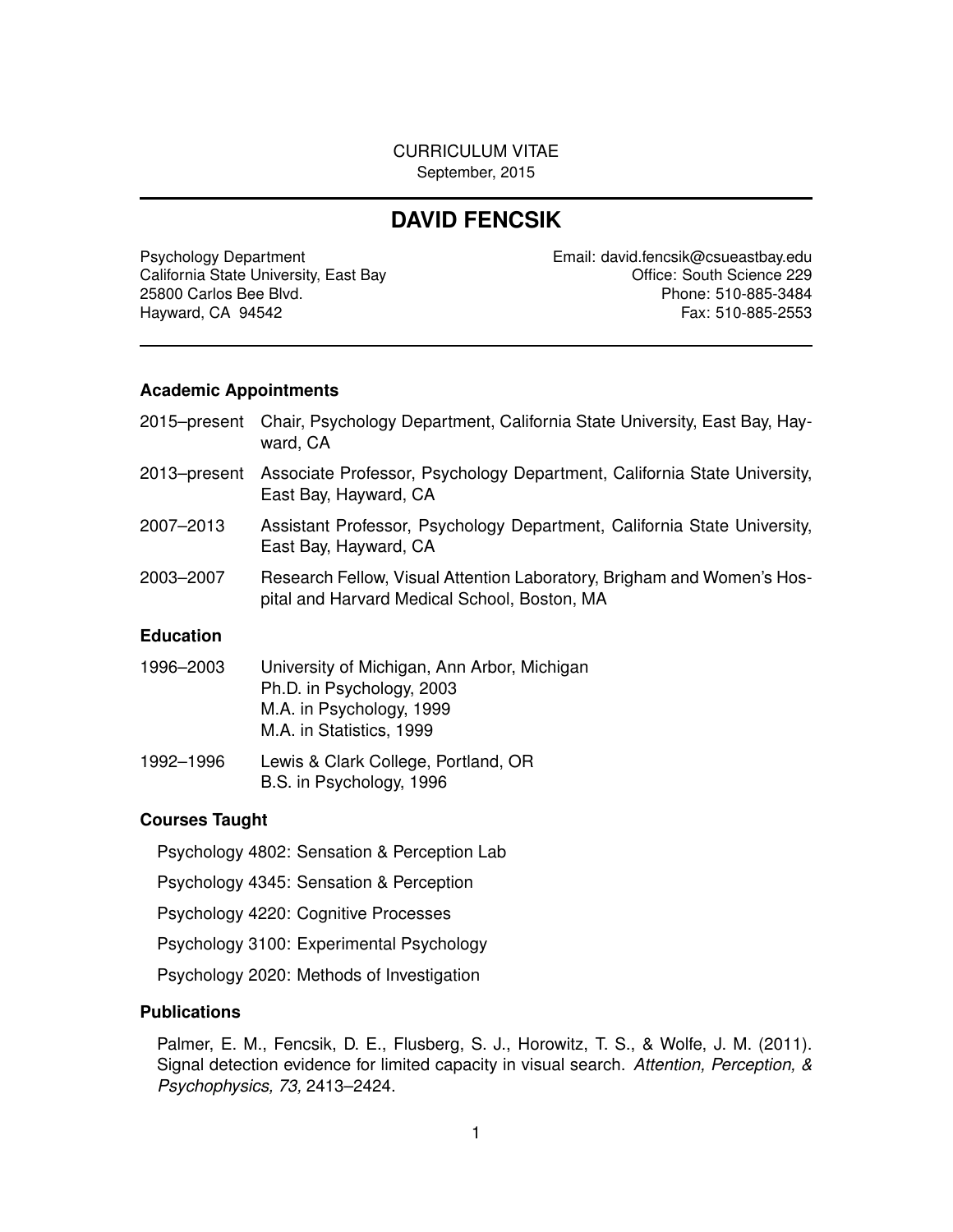#### CURRICULUM VITAE September, 2015

# **DAVID FENCSIK**

Psychology Department **Email:** david.fencsik@csueastbay.edu California State University, East Bay **California State University, East Bay California State University, East Bay** 25800 Carlos Bee Blvd. Phone: 510-885-3484 Hayward, CA 94542 Fax: 510-885-2553

#### **Academic Appointments**

|              | 2015–present Chair, Psychology Department, California State University, East Bay, Hay-<br>ward, CA |
|--------------|----------------------------------------------------------------------------------------------------|
| 2013–present | Associate Professor, Psychology Department, California State University,<br>East Bay, Hayward, CA  |
| 2007-2013    | Assistant Professor, Psychology Department, California State University,<br>East Bay, Hayward, CA  |
| 2003-2007    | Research Fellow, Visual Attention Laboratory, Brigham and Women's Hos-                             |

pital and Harvard Medical School, Boston, MA

#### **Education**

| 1996–2003 | University of Michigan, Ann Arbor, Michigan |
|-----------|---------------------------------------------|
|           | Ph.D. in Psychology, 2003                   |
|           | M.A. in Psychology, 1999                    |
|           | M.A. in Statistics, 1999                    |
|           |                                             |

1992–1996 Lewis & Clark College, Portland, OR B.S. in Psychology, 1996

#### **Courses Taught**

Psychology 4802: Sensation & Perception Lab

Psychology 4345: Sensation & Perception

Psychology 4220: Cognitive Processes

Psychology 3100: Experimental Psychology

Psychology 2020: Methods of Investigation

## **Publications**

Palmer, E. M., Fencsik, D. E., Flusberg, S. J., Horowitz, T. S., & Wolfe, J. M. (2011). Signal detection evidence for limited capacity in visual search. *Attention, Perception, & Psychophysics, 73,* 2413–2424.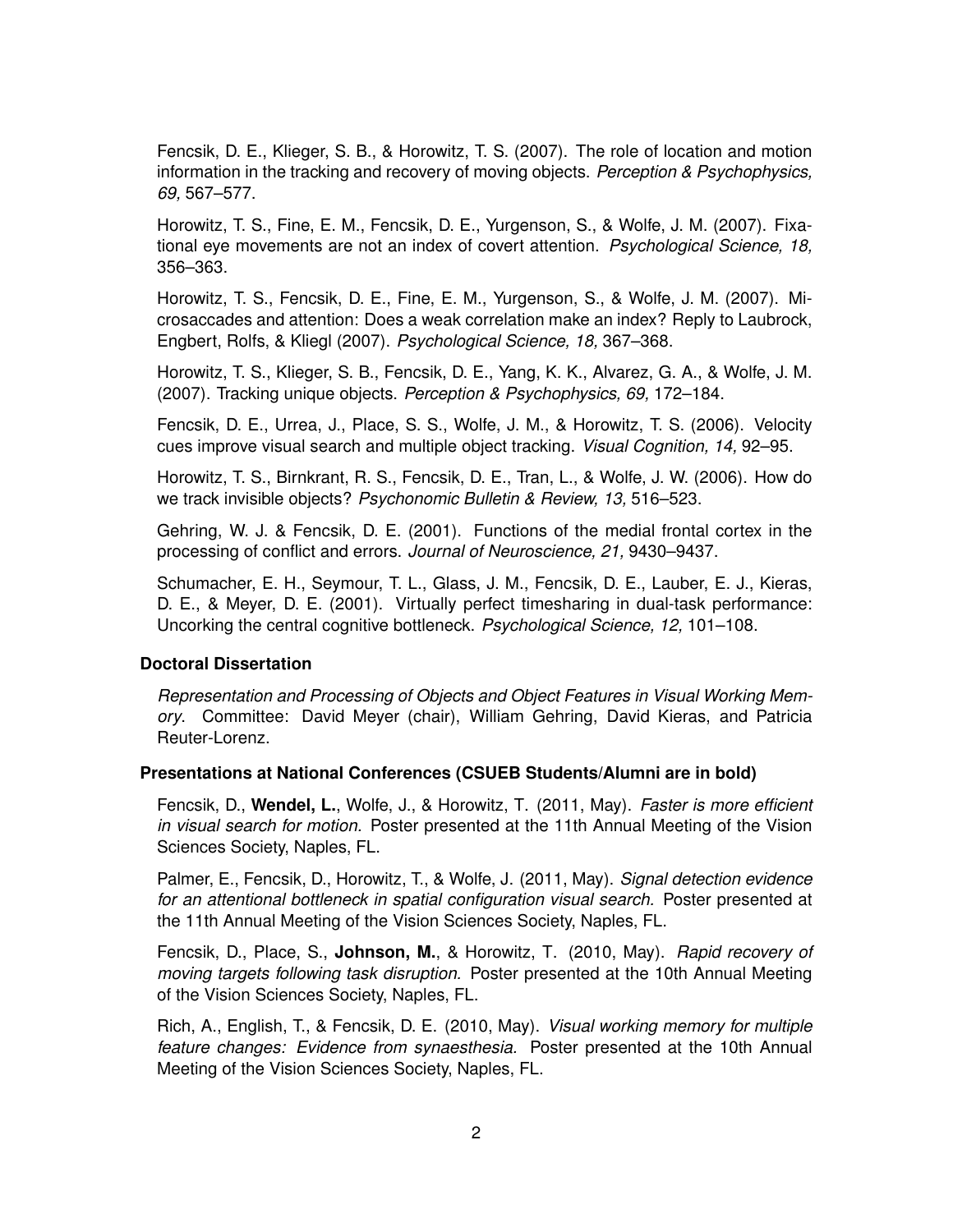Fencsik, D. E., Klieger, S. B., & Horowitz, T. S. (2007). The role of location and motion information in the tracking and recovery of moving objects. *Perception & Psychophysics, 69,* 567–577.

Horowitz, T. S., Fine, E. M., Fencsik, D. E., Yurgenson, S., & Wolfe, J. M. (2007). Fixational eye movements are not an index of covert attention. *Psychological Science, 18,* 356–363.

Horowitz, T. S., Fencsik, D. E., Fine, E. M., Yurgenson, S., & Wolfe, J. M. (2007). Microsaccades and attention: Does a weak correlation make an index? Reply to Laubrock, Engbert, Rolfs, & Kliegl (2007). *Psychological Science, 18,* 367–368.

Horowitz, T. S., Klieger, S. B., Fencsik, D. E., Yang, K. K., Alvarez, G. A., & Wolfe, J. M. (2007). Tracking unique objects. *Perception & Psychophysics, 69,* 172–184.

Fencsik, D. E., Urrea, J., Place, S. S., Wolfe, J. M., & Horowitz, T. S. (2006). Velocity cues improve visual search and multiple object tracking. *Visual Cognition, 14,* 92–95.

Horowitz, T. S., Birnkrant, R. S., Fencsik, D. E., Tran, L., & Wolfe, J. W. (2006). How do we track invisible objects? *Psychonomic Bulletin & Review, 13,* 516–523.

Gehring, W. J. & Fencsik, D. E. (2001). Functions of the medial frontal cortex in the processing of conflict and errors. *Journal of Neuroscience, 21,* 9430–9437.

Schumacher, E. H., Seymour, T. L., Glass, J. M., Fencsik, D. E., Lauber, E. J., Kieras, D. E., & Meyer, D. E. (2001). Virtually perfect timesharing in dual-task performance: Uncorking the central cognitive bottleneck. *Psychological Science, 12,* 101–108.

#### **Doctoral Dissertation**

*Representation and Processing of Objects and Object Features in Visual Working Memory*. Committee: David Meyer (chair), William Gehring, David Kieras, and Patricia Reuter-Lorenz.

#### **Presentations at National Conferences (CSUEB Students/Alumni are in bold)**

Fencsik, D., **Wendel, L.**, Wolfe, J., & Horowitz, T. (2011, May). *Faster is more efficient in visual search for motion.* Poster presented at the 11th Annual Meeting of the Vision Sciences Society, Naples, FL.

Palmer, E., Fencsik, D., Horowitz, T., & Wolfe, J. (2011, May). *Signal detection evidence for an attentional bottleneck in spatial configuration visual search.* Poster presented at the 11th Annual Meeting of the Vision Sciences Society, Naples, FL.

Fencsik, D., Place, S., **Johnson, M.**, & Horowitz, T. (2010, May). *Rapid recovery of moving targets following task disruption.* Poster presented at the 10th Annual Meeting of the Vision Sciences Society, Naples, FL.

Rich, A., English, T., & Fencsik, D. E. (2010, May). *Visual working memory for multiple feature changes: Evidence from synaesthesia.* Poster presented at the 10th Annual Meeting of the Vision Sciences Society, Naples, FL.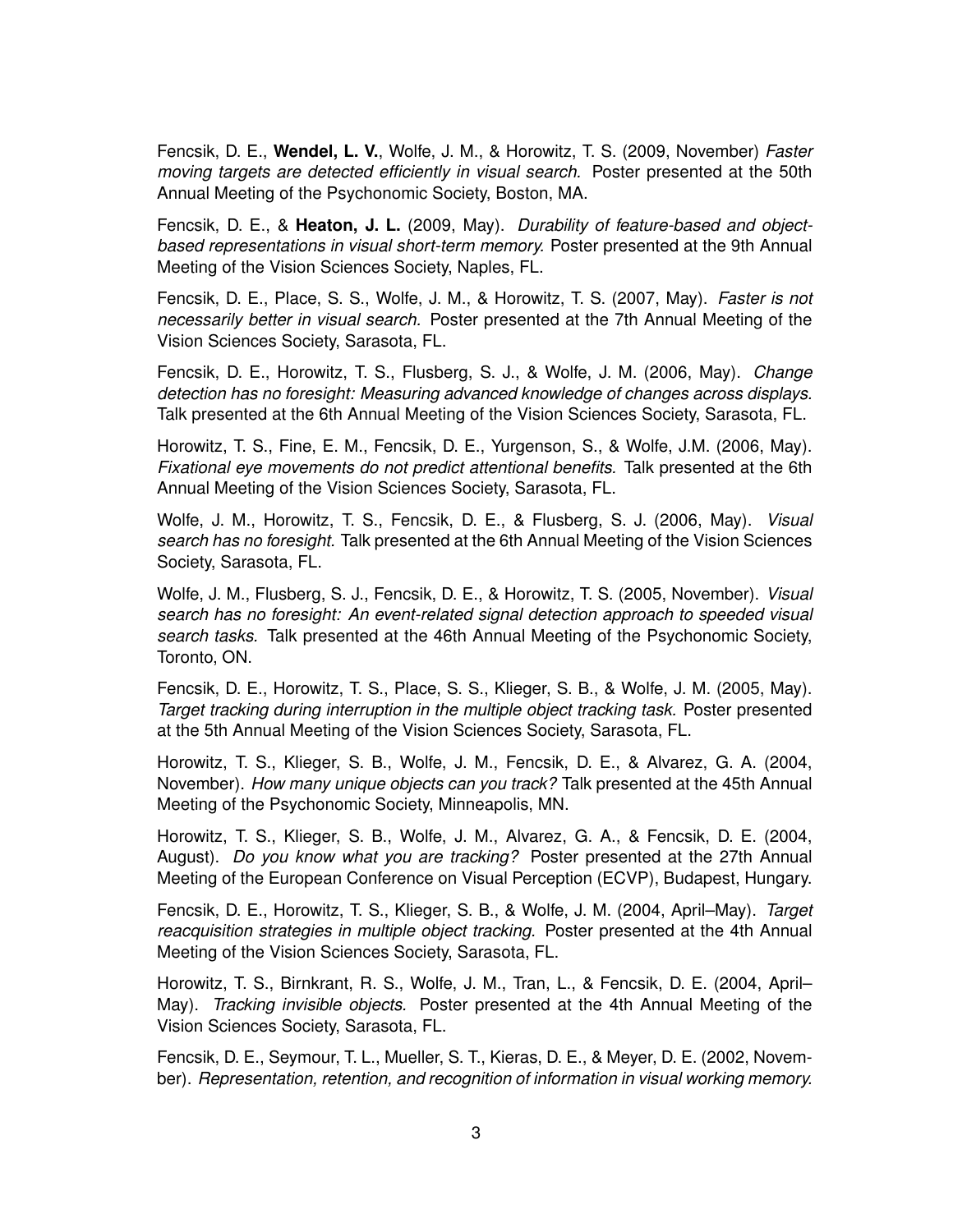Fencsik, D. E., **Wendel, L. V.**, Wolfe, J. M., & Horowitz, T. S. (2009, November) *Faster moving targets are detected efficiently in visual search.* Poster presented at the 50th Annual Meeting of the Psychonomic Society, Boston, MA.

Fencsik, D. E., & **Heaton, J. L.** (2009, May). *Durability of feature-based and objectbased representations in visual short-term memory.* Poster presented at the 9th Annual Meeting of the Vision Sciences Society, Naples, FL.

Fencsik, D. E., Place, S. S., Wolfe, J. M., & Horowitz, T. S. (2007, May). *Faster is not necessarily better in visual search.* Poster presented at the 7th Annual Meeting of the Vision Sciences Society, Sarasota, FL.

Fencsik, D. E., Horowitz, T. S., Flusberg, S. J., & Wolfe, J. M. (2006, May). *Change detection has no foresight: Measuring advanced knowledge of changes across displays.* Talk presented at the 6th Annual Meeting of the Vision Sciences Society, Sarasota, FL.

Horowitz, T. S., Fine, E. M., Fencsik, D. E., Yurgenson, S., & Wolfe, J.M. (2006, May). *Fixational eye movements do not predict attentional benefits.* Talk presented at the 6th Annual Meeting of the Vision Sciences Society, Sarasota, FL.

Wolfe, J. M., Horowitz, T. S., Fencsik, D. E., & Flusberg, S. J. (2006, May). *Visual search has no foresight.* Talk presented at the 6th Annual Meeting of the Vision Sciences Society, Sarasota, FL.

Wolfe, J. M., Flusberg, S. J., Fencsik, D. E., & Horowitz, T. S. (2005, November). *Visual search has no foresight: An event-related signal detection approach to speeded visual search tasks.* Talk presented at the 46th Annual Meeting of the Psychonomic Society, Toronto, ON.

Fencsik, D. E., Horowitz, T. S., Place, S. S., Klieger, S. B., & Wolfe, J. M. (2005, May). *Target tracking during interruption in the multiple object tracking task.* Poster presented at the 5th Annual Meeting of the Vision Sciences Society, Sarasota, FL.

Horowitz, T. S., Klieger, S. B., Wolfe, J. M., Fencsik, D. E., & Alvarez, G. A. (2004, November). *How many unique objects can you track?* Talk presented at the 45th Annual Meeting of the Psychonomic Society, Minneapolis, MN.

Horowitz, T. S., Klieger, S. B., Wolfe, J. M., Alvarez, G. A., & Fencsik, D. E. (2004, August). *Do you know what you are tracking?* Poster presented at the 27th Annual Meeting of the European Conference on Visual Perception (ECVP), Budapest, Hungary.

Fencsik, D. E., Horowitz, T. S., Klieger, S. B., & Wolfe, J. M. (2004, April–May). *Target reacquisition strategies in multiple object tracking.* Poster presented at the 4th Annual Meeting of the Vision Sciences Society, Sarasota, FL.

Horowitz, T. S., Birnkrant, R. S., Wolfe, J. M., Tran, L., & Fencsik, D. E. (2004, April– May). *Tracking invisible objects.* Poster presented at the 4th Annual Meeting of the Vision Sciences Society, Sarasota, FL.

Fencsik, D. E., Seymour, T. L., Mueller, S. T., Kieras, D. E., & Meyer, D. E. (2002, November). *Representation, retention, and recognition of information in visual working memory.*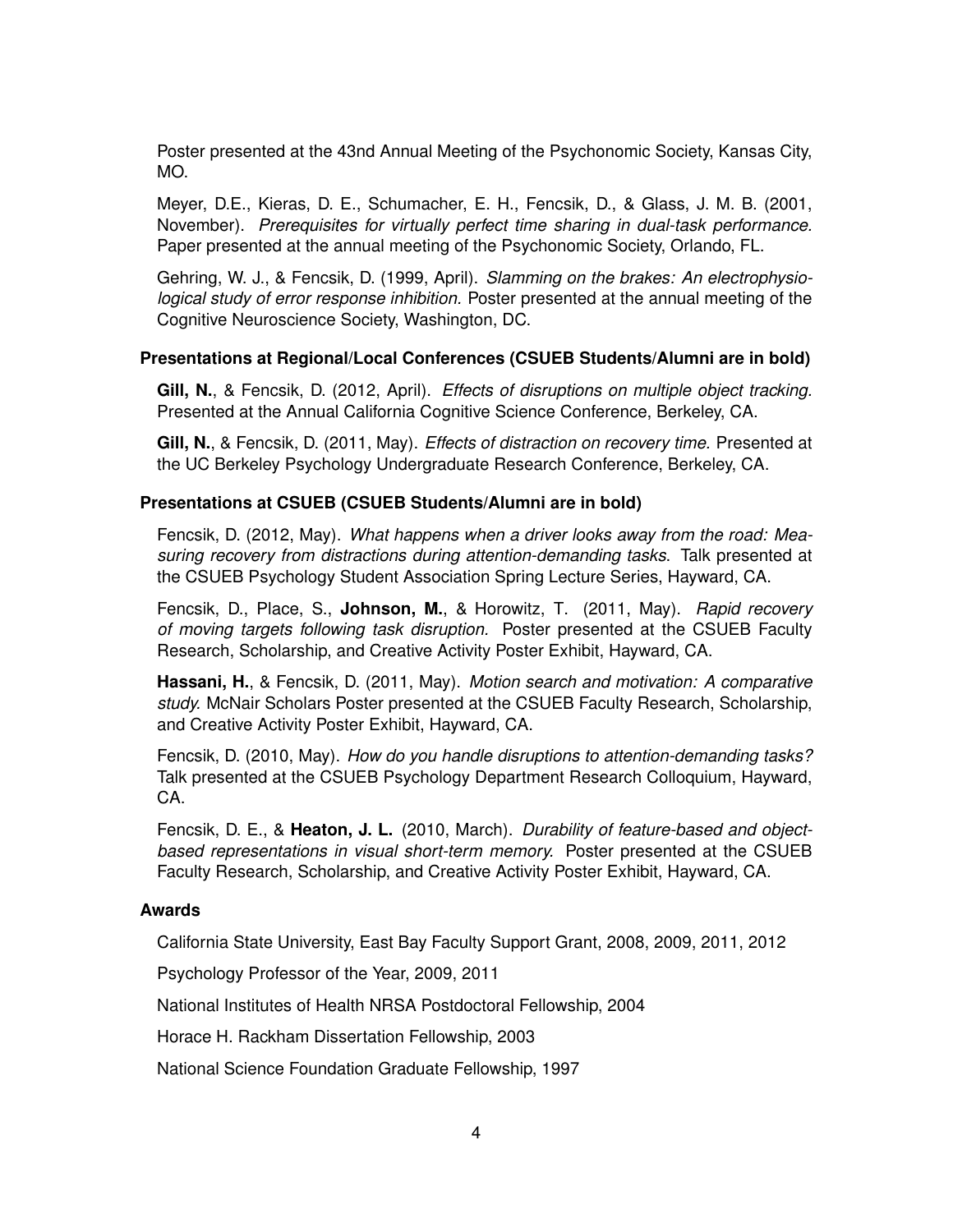Poster presented at the 43nd Annual Meeting of the Psychonomic Society, Kansas City, MO.

Meyer, D.E., Kieras, D. E., Schumacher, E. H., Fencsik, D., & Glass, J. M. B. (2001, November). *Prerequisites for virtually perfect time sharing in dual-task performance.* Paper presented at the annual meeting of the Psychonomic Society, Orlando, FL.

Gehring, W. J., & Fencsik, D. (1999, April). *Slamming on the brakes: An electrophysiological study of error response inhibition.* Poster presented at the annual meeting of the Cognitive Neuroscience Society, Washington, DC.

#### **Presentations at Regional/Local Conferences (CSUEB Students/Alumni are in bold)**

**Gill, N.**, & Fencsik, D. (2012, April). *Effects of disruptions on multiple object tracking.* Presented at the Annual California Cognitive Science Conference, Berkeley, CA.

**Gill, N.**, & Fencsik, D. (2011, May). *Effects of distraction on recovery time.* Presented at the UC Berkeley Psychology Undergraduate Research Conference, Berkeley, CA.

#### **Presentations at CSUEB (CSUEB Students/Alumni are in bold)**

Fencsik, D. (2012, May). *What happens when a driver looks away from the road: Measuring recovery from distractions during attention-demanding tasks*. Talk presented at the CSUEB Psychology Student Association Spring Lecture Series, Hayward, CA.

Fencsik, D., Place, S., **Johnson, M.**, & Horowitz, T. (2011, May). *Rapid recovery of moving targets following task disruption.* Poster presented at the CSUEB Faculty Research, Scholarship, and Creative Activity Poster Exhibit, Hayward, CA.

**Hassani, H.**, & Fencsik, D. (2011, May). *Motion search and motivation: A comparative study.* McNair Scholars Poster presented at the CSUEB Faculty Research, Scholarship, and Creative Activity Poster Exhibit, Hayward, CA.

Fencsik, D. (2010, May). *How do you handle disruptions to attention-demanding tasks?* Talk presented at the CSUEB Psychology Department Research Colloquium, Hayward, CA.

Fencsik, D. E., & **Heaton, J. L.** (2010, March). *Durability of feature-based and objectbased representations in visual short-term memory.* Poster presented at the CSUEB Faculty Research, Scholarship, and Creative Activity Poster Exhibit, Hayward, CA.

#### **Awards**

California State University, East Bay Faculty Support Grant, 2008, 2009, 2011, 2012

Psychology Professor of the Year, 2009, 2011

National Institutes of Health NRSA Postdoctoral Fellowship, 2004

Horace H. Rackham Dissertation Fellowship, 2003

National Science Foundation Graduate Fellowship, 1997